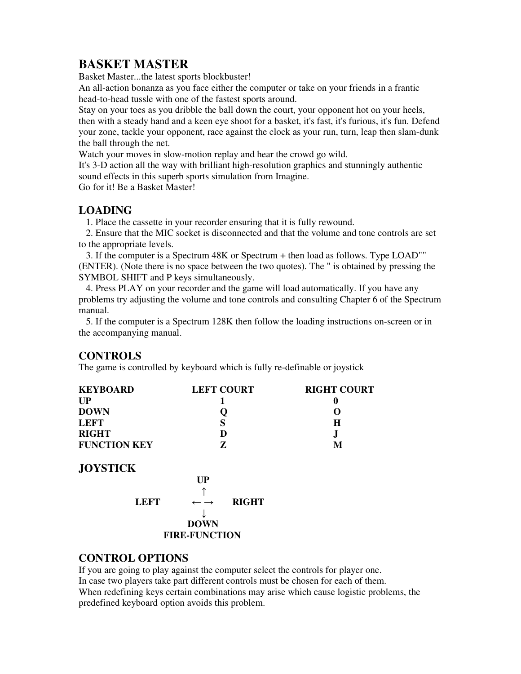# **BASKET MASTER**

Basket Master...the latest sports blockbuster!

An all-action bonanza as you face either the computer or take on your friends in a frantic head-to-head tussle with one of the fastest sports around.

Stay on your toes as you dribble the ball down the court, your opponent hot on your heels, then with a steady hand and a keen eye shoot for a basket, it's fast, it's furious, it's fun. Defend your zone, tackle your opponent, race against the clock as your run, turn, leap then slam-dunk the ball through the net.

Watch your moves in slow-motion replay and hear the crowd go wild.

It's 3-D action all the way with brilliant high-resolution graphics and stunningly authentic sound effects in this superb sports simulation from Imagine.

Go for it! Be a Basket Master!

## **LOADING**

1. Place the cassette in your recorder ensuring that it is fully rewound.

 2. Ensure that the MIC socket is disconnected and that the volume and tone controls are set to the appropriate levels.

 3. If the computer is a Spectrum 48K or Spectrum + then load as follows. Type LOAD"" (ENTER). (Note there is no space between the two quotes). The " is obtained by pressing the SYMBOL SHIFT and P keys simultaneously.

 4. Press PLAY on your recorder and the game will load automatically. If you have any problems try adjusting the volume and tone controls and consulting Chapter 6 of the Spectrum manual.

 5. If the computer is a Spectrum 128K then follow the loading instructions on-screen or in the accompanying manual.

## **CONTROLS**

The game is controlled by keyboard which is fully re-definable or joystick

| <b>KEYBOARD</b>      | <b>LEFT COURT</b>                          | <b>RIGHT COURT</b> |
|----------------------|--------------------------------------------|--------------------|
| UP                   |                                            | 0                  |
| <b>DOWN</b>          |                                            |                    |
| <b>LEFT</b>          | S                                          | Н                  |
| <b>RIGHT</b>         | D                                          | J                  |
| <b>FUNCTION KEY</b>  | Z                                          | M                  |
| <b>JOYSTICK</b>      |                                            |                    |
|                      | UP                                         |                    |
|                      |                                            |                    |
| <b>LEFT</b>          | <b>RIGHT</b><br>$\leftarrow$ $\rightarrow$ |                    |
|                      |                                            |                    |
|                      | <b>DOWN</b>                                |                    |
| <b>FIRE-FUNCTION</b> |                                            |                    |
|                      |                                            |                    |

## **CONTROL OPTIONS**

If you are going to play against the computer select the controls for player one. In case two players take part different controls must be chosen for each of them. When redefining keys certain combinations may arise which cause logistic problems, the predefined keyboard option avoids this problem.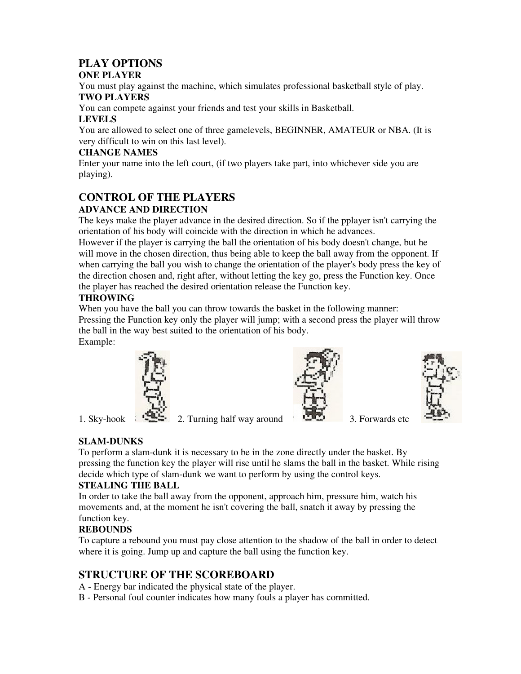## **PLAY OPTIONS**

#### **ONE PLAYER**

You must play against the machine, which simulates professional basketball style of play. **TWO PLAYERS** 

You can compete against your friends and test your skills in Basketball.

#### **LEVELS**

You are allowed to select one of three gamelevels, BEGINNER, AMATEUR or NBA. (It is very difficult to win on this last level).

### **CHANGE NAMES**

Enter your name into the left court, (if two players take part, into whichever side you are playing).

#### **CONTROL OF THE PLAYERS ADVANCE AND DIRECTION**

The keys make the player advance in the desired direction. So if the pplayer isn't carrying the orientation of his body will coincide with the direction in which he advances.

However if the player is carrying the ball the orientation of his body doesn't change, but he will move in the chosen direction, thus being able to keep the ball away from the opponent. If when carrying the ball you wish to change the orientation of the player's body press the key of the direction chosen and, right after, without letting the key go, press the Function key. Once the player has reached the desired orientation release the Function key.

### **THROWING**

When you have the ball you can throw towards the basket in the following manner: Pressing the Function key only the player will jump; with a second press the player will throw the ball in the way best suited to the orientation of his body.

Example:



1. Sky-hook  $2.$  Turning half way around  $3.$  Forwards etc





# **SLAM-DUNKS**

To perform a slam-dunk it is necessary to be in the zone directly under the basket. By pressing the function key the player will rise until he slams the ball in the basket. While rising decide which type of slam-dunk we want to perform by using the control keys.

## **STEALING THE BALL**

In order to take the ball away from the opponent, approach him, pressure him, watch his movements and, at the moment he isn't covering the ball, snatch it away by pressing the function key.

## **REBOUNDS**

To capture a rebound you must pay close attention to the shadow of the ball in order to detect where it is going. Jump up and capture the ball using the function key.

# **STRUCTURE OF THE SCOREBOARD**

- A Energy bar indicated the physical state of the player.
- B Personal foul counter indicates how many fouls a player has committed.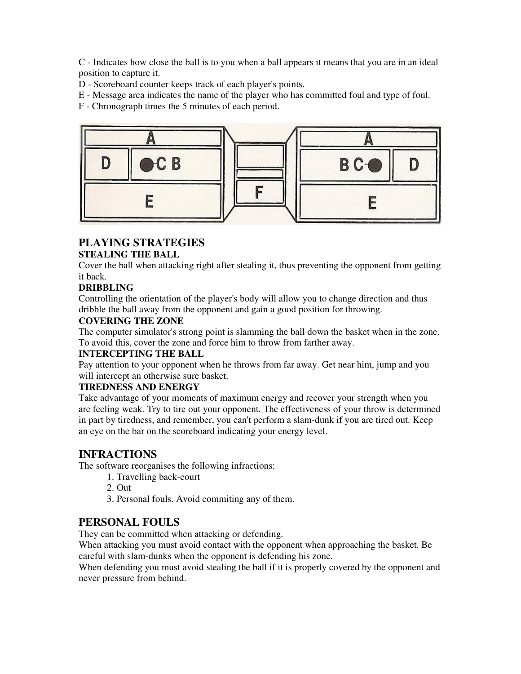C - Indicates how close the ball is to you when a ball appears it means that you are in an ideal position to capture it.

D - Scoreboard counter keeps track of each player's points.

E - Message area indicates the name of the player who has committed foul and type of foul.

F - Chronograph times the 5 minutes of each period.



#### **PLAYING STRATEGIES STEALING THE BALL**

Cover the ball when attacking right after stealing it, thus preventing the opponent from getting it back.

## **DRIBBLING**

Controlling the orientation of the player's body will allow you to change direction and thus dribble the ball away from the opponent and gain a good position for throwing.

### **COVERING THE ZONE**

The computer simulator's strong point is slamming the ball down the basket when in the zone. To avoid this, cover the zone and force him to throw from farther away.

#### **INTERCEPTING THE BALL**

Pay attention to your opponent when he throws from far away. Get near him, jump and you will intercept an otherwise sure basket.

#### **TIREDNESS AND ENERGY**

Take advantage of your moments of maximum energy and recover your strength when you are feeling weak. Try to tire out your opponent. The effectiveness of your throw is determined in part by tiredness, and remember, you can't perform a slam-dunk if you are tired out. Keep an eye on the bar on the scoreboard indicating your energy level.

## **INFRACTIONS**

The software reorganises the following infractions:

- 1. Travelling back-court
- 2. Out
- 3. Personal fouls. Avoid commiting any of them.

## **PERSONAL FOULS**

They can be committed when attacking or defending.

When attacking you must avoid contact with the opponent when approaching the basket. Be careful with slam-dunks when the opponent is defending his zone.

When defending you must avoid stealing the ball if it is properly covered by the opponent and never pressure from behind.